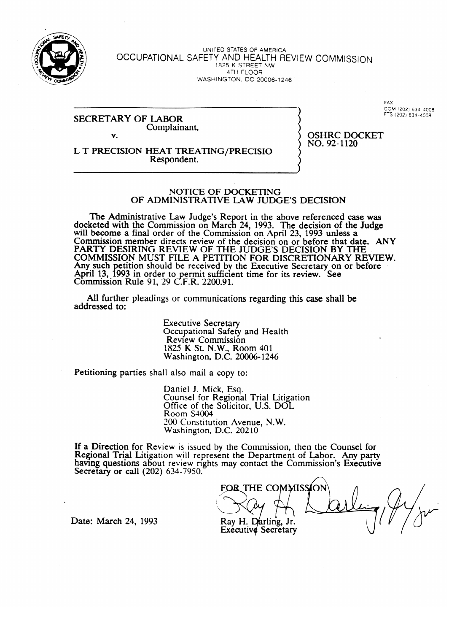

#### UNITED STATES OF AMERICA OCCUPATIONAL SAFETT AND HEALTH REVIEW COMMISSI 1825 K STREET NW<br>4TH FLOOR  $T$  $N$  $N$  $R$ When the term are about the

#### SECRETARY COMPLAIN Complainant, V.

**FAX** COM (202) 634-4008 **\ COM** ~202) **634-4008**  FTS (202, **634-4008** 

Respondent. Respondent.

 $NO.92-1120$ 

no. 924<br>1

#### NOTICE OF DOCKETING OF ADMINISTRATIVE LAW JUDGE'S DECISION

OF ADMINISTRATIVE LAW JUDGE'S DECISI-ON  $\epsilon$  with the Commission on March 24, 1993. The decision of the Judge will become a final order of the Commission on April 23, 1993 unless a COMMISSION MEMBER GIFECTS FEVIEW OF THE GECISION ON OF BEFORE THAT GALAXY CANT LUCSINING KEVIEW OF THE JUDGE'S DECISION OF THE TANGER ON BEFORE THE COMMISSION OF BEFORE THAT COMMISSION MOST FILE A PETITION FOR DISCRETIONART RE Any such petition should be received by the executive secretary on or before April 13, 1993 in order to permit sumclem time for its review. See<br>Commission Rule 01 .20 C E R .2200.01 COMMISSION NUIC 91, 29 C.F.N.  $2200.91$ .

All further pleadings or communications regarding this case shall be  $A$  further pleading or communications regarding the communications regarding the case shall be shall be shall be shall be shall be shall be shall be shall be shall be shall be shall be shall be shall be shall be shall be

> **Executive Secretary** Occupational Safety and Health<br>Review Commission 1825 K St. N.W., Room 401 Washington, D.C. 20006-1246  $825.1$ ,  $182.1$ ,  $182.1$ ,  $182.1$

Petitioning parties shall also mail a copy to:

Daniel J. Mick, Esq.<br>Counsel for Regional Trial Litigation Office of the Solicitor, U.S. DOL<br>Room S4004  $Room S4004$  $200$  Constitution Avenue, N.W. Washington,

 $\mathcal{L}(\mathbf{X})$  $ew$  is issued by the Com having questions about review rights may contact the Commission's Executive Secretary or call  $(202)$  634-7950.

FOR THE COMMISSION

Date: March 24, 1993

Ray H. Darling, Jr. **Executive Secretary**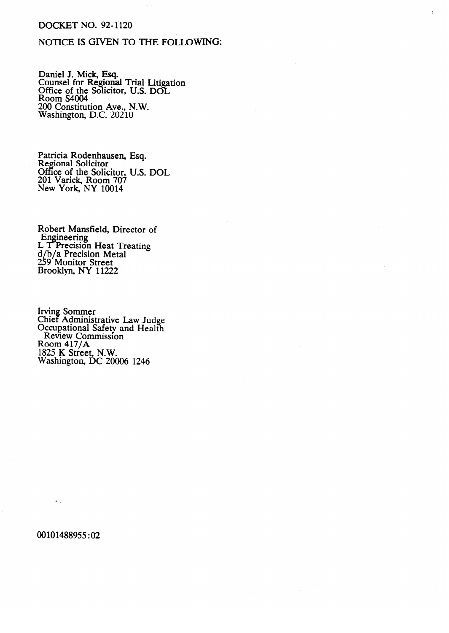## DOCKET NO. 92-1120

# NOTICE IS GIVEN TO THE FOLLOWING:

Daniel J. Mick, Esq. Counsel for Regional Trial Liti JHT. ation<br>I Office of the Solicitor, U.S. DOI<br>Room S4004 <u>room</u> S<sub>100</sub>+  $\overline{W}$ ashington, D.C. 20210 Washington, D.C. 20210

Regional Solicitor Office of the Soli 201 Varick, Room 70 2014 New York, NY 10014 الموس<br>موس

Robert Mansfield, Director of Engineering<br>L. T. Procision Mans Thurst L I Precisio u/U/a<br>250 N recision Metal ے<br>D 9 MUIIIUI SIIEEI<br>ookku NV 11999  $\overline{v}$  $\mathbf{F}$ 00 kiyil, in 1 1122

**Occupational** S **Companional State of Administrative Law Administrative Law Judge** Room  $417/A$  $325$  K Street, N.W. Washington, 1825 K Street, N.W. 2006

00101488955:02

 $\alpha$  .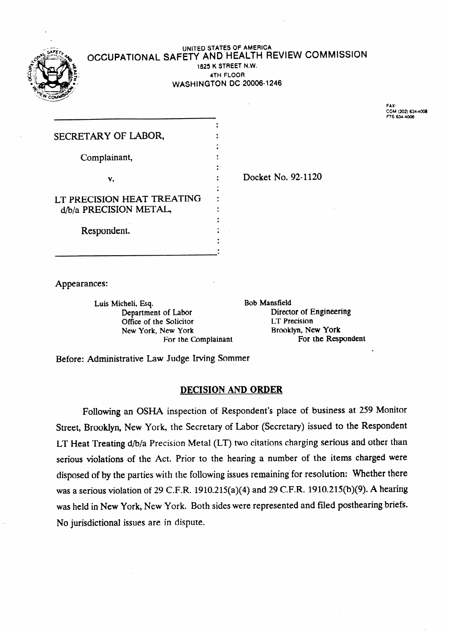

#### **UNITED STATES OF AMERICA**  OCCUPATIONAL SAFETY AND HEALTH REVIEW COMMISSION **1825 K STREET N.W. 4TH FLOOR WASHINGTON DC 20006-1246**

FAX:<br>COM (202) 634-4008<br>FTS 634-400<mark>6</mark>

| SECRETARY OF LABOR,        |        |
|----------------------------|--------|
| Complainant,               |        |
|                            | Docket |
| v.                         |        |
| LT PRECISION HEAT TREATING |        |
| d/b/a PRECISION METAL,     |        |
| Respondent.                |        |
|                            |        |

No. 92-1120

Appearances:

Luis Micheli, Esq.<br>
Department of Labor<br>
Directure Bob Mansfield<br>
Directure Bob Mansfield Office of the Solicitor<br>
New York, New York<br>
Rooklyn, New York<br>
Rooklyn, New York New York, New York Brooklyn, New York Brooklyn, New York For the Complainant For the Complainant

Director of Engineering<br>LT Precision

.

Before: Administrative Law Judge Irving Sommer

#### **DECISION AND ORDER**

Following an OSHA inspection of Respondent's place of business at 259 Monitor Street, Brooklyn, New York, the Secretary of Labor (Secretary) issued to the Respondent LT Heat Treating d/b/a Precision Metal (LT) two citations charging serious and other than serious violations of the Act. Prior to the hearing a number of the items charged were disposed of by the parties with the following issues remaining for resolution: Whether there was a serious violation of 29 C.F.R. 1910.215(a)(4) and 29 C.F.R. 1910.215(b)(9). A hearing was held in New York, New York. Both sides were represented and filed posthearing briefs. No jurisdictional issues are in dispute.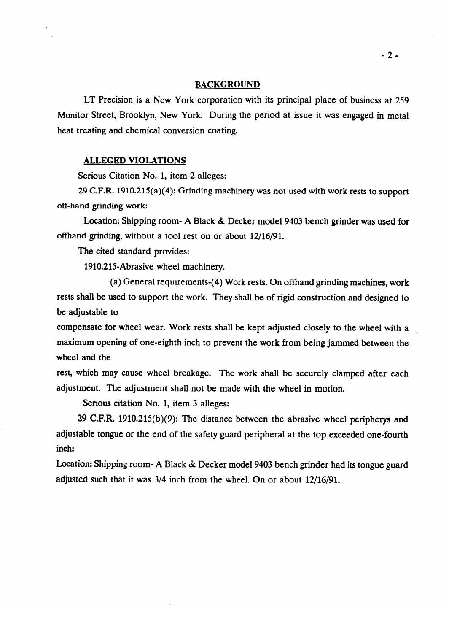#### BACKGROUND

LT Precision is a New York corporation with its principal place of business at 259 Monitor Street, Brooklyn, New York. During the period at issue it was engaged in metal heat treating and chemical conversion coating.

#### **ALLEGED VIOLATIONS**

Serious Citation No. 1, item 2 alleges:

29 C.F.R.  $1910.215(a)(4)$ : Grinding machinery was not used with work rests to support 29 C.F.R. 1910.215(a)(4): Grinding machinery was not used with work rests to **support** 

Location: Shipping room- A Black & Decker model 9403 bench grinder was used for offhand grinding, without a tool rest on or about  $12/16/91$ .

The cited standard provides:

1910.215-Abrasive wheel machinery.

(a) General requirements-(4) Work rests. On offhand grinding machines, work rests shall be used to support the work. They shall be of rigid construction and designed to be adjustable to

compensate for wheel wear. Work rests shall be kept adjusted closely to the wheel with a maximum opening of one-eighth inch to prevent the work from being jammed between the wheel and the

rest, which may cause wheel breakage. The work shall be securely clamped after each adjustment. The adjustment shall not be made with the wheel in motion.

Serious citation No. 1, item 3 alleges:

29 C.F.R.  $1910.215(b)(9)$ : The distance between the abrasive wheel peripherys and adjustable tongue or the end of the safety guard peripheral at the top exceeded one-fourth  $\alpha$ diustable tongue or the safety guard peripheral at the safety guard peripheral at the top exceeded one-fourth

Location: Shipping room- A Black & Decker model 9403 bench grinder had its tongue guard adjusted such that it was  $3/4$  inch from the wheel. On or about  $12/16/91$ .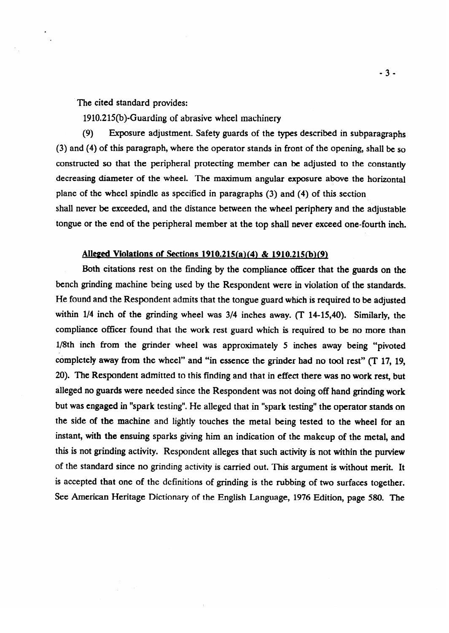The cited standard provides:

1910.215(b)-Guarding of abrasive wheel machinery

(9) Exposure adjustment. Safety guards of the types described in subparagraphs (3) and (4) of this paragraph, where the operator stands in front of the opening, shall be so constructed so that the peripheral protecting member can be adjusted to the constantly decreasing diameter of the wheel. The maximum angular exposure above the horizontal plane of the wheel spindle as specified in paragraphs  $(3)$  and  $(4)$  of this section shall never be exceeded, and the distance between the wheel periphery and the adjustable tongue or the end of the peripheral member at the top shall never exceed one-fourth inch.

tongue or the end of the peripheral member 'at the top shall never exceed one-fourth inch.

## Alleged Violations of Sections 1910.215(a)(4) & 1910.215(b)(9)

Both citations rest on the finding by the compliance officer that the guards on the bench grinding machine being used by the Respondent were in violation of the standards. He found and the Respondent admits that the tongue guard which is required to be adjusted within  $1/4$  inch of the grinding wheel was  $3/4$  inches away. (T 14-15,40). Similarly, the compliance officer found that the work rest guard which is required to be no more than 1/8th inch from the grinder wheel was approximately 5 inches away being "pivoted completely away from the wheel" and "in essence the grinder had no tool rest"  $(T 17, 19, 19)$ 20). The Respondent admitted to this finding and that in effect there was no work rest, but alleged no guards were needed since the Respondent was not doing off hand grinding work but was engaged in "spark testing". He alleged that in "spark testing" the operator stands on the side of the machine and lightly touches the metal being tested to the wheel for an instant, with the ensuing sparks giving him an indication of the makeup of the metal, and this is not grinding activity. Respondent alleges that such activity is not within the purview of the standard since no grinding activity is carried out. This argument is without merit. It is accepted that one of the definitions of grinding is the rubbing of two surfaces together. See American Heritage Dictionary of the English Language, 1976 Edition, page 580. The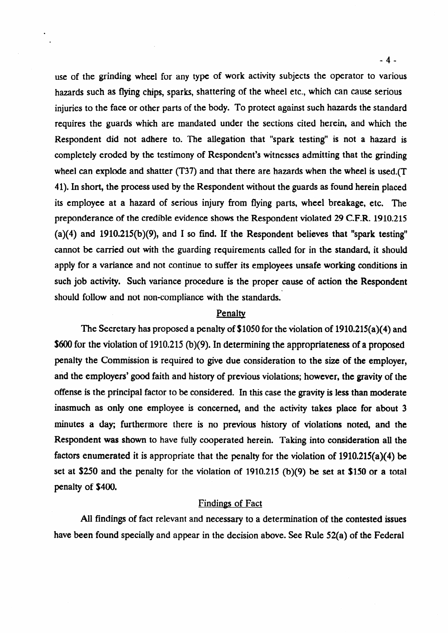use of the grinding wheel for any type of work activity subjects the operator to various hazards such as flying chips, sparks, shattering of the wheel etc., which can cause serious injuries to the face or other parts of the body. To protect against such hazards the standard requires the guards which are mandated under the sections cited herein, and which the Respondent did not adhere to. The allegation that "spark testing" is not a hazard is completely eroded by the testimony of Respondent's witnesses admitting that the grinding wheel can explode and shatter (T37) and that there are hazards when the wheel is used.(T 41). In short, the process used by the Respondent without the guards as found herein placed its employee at a hazard of serious injury from flying parts, wheel breakage, etc. The preponderance of the credible evidence shows the Respondent violated 29 C.F.R. 1910.215 (a)(4) and  $1910.215(b)(9)$ , and I so find. If the Respondent believes that "spark testing" cannot be carried out with the guarding requirements called for in the standard, it should apply for a variance and not continue to suffer its employees unsafe working conditions in such job activity. Such variance procedure is the proper cause of action the Respondent should follow and not non-compliance with the standards.

### Penalty

The Secretary has proposed a penalty of \$1050 for the violation of 1910.215(a)(4) and \$600 for the violation of 1910.215 (b)(9). In determining the appropriateness of a proposed penalty the Commission is required to give due consideration to the size of the employer, and the employers' good faith and history of previous violations; however, the gravity of the offense is the principal factor to be considered. In this case the gravity is less than moderate inasmuch as only one employee is concerned, and the activity takes place for about 3 minutes a day; furthermore there is no previous history of violations noted, and the Respondent was shown to have fully cooperated herein. Taking into consideration all the factors enumerated it is appropriate that the penalty for the violation of 1910.215(a)(4) be set at \$250 and the penalty for the violation of 1910.215 (b)(9) be set at \$150 or a total penalty of \$400.

## Findings of Fact

All findings of fact relevant and necessary to a determination of the contested issues have been found specially and appear in the decision above. See Rule 52(a) of the Federal

 $-4-$